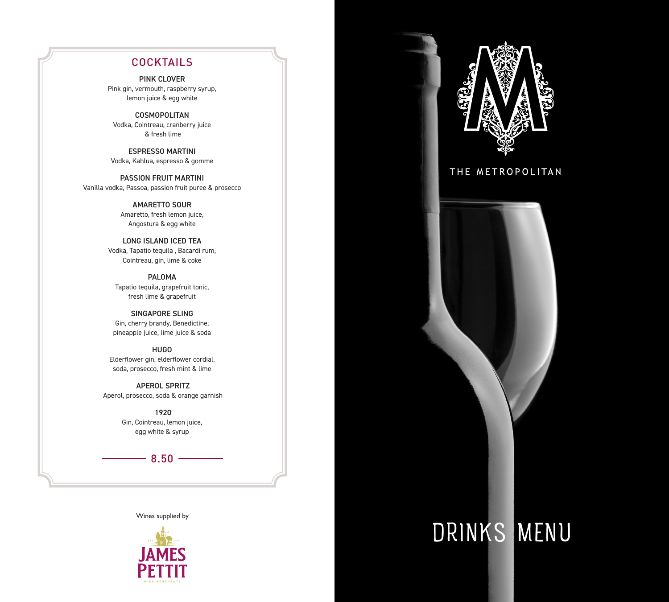#### **COCKTAILS**

PINK CLOVER Pink gin, vermouth, raspberry syrup, lemon juice & egg white

**COSMOPOLITAN** Vodka, Cointreau, cranberry juice & fresh lime

ESPRESSO MARTINI Vodka, Kahlua, espresso & gomme

PASSION FRUIT MARTINI Vanilla vodka, Passoa, passion fruit puree & prosecco

> AMARETTO SOUR Amaretto, fresh lemon juice, Angostura & egg white

LONG ISLAND ICED TEA Vodka, Tapatio tequila , Bacardi rum, Cointreau, gin, lime & coke

PALOMA Tapatio tequila, grapefruit tonic, fresh lime & grapefruit

SINGAPORE SLING Gin, cherry brandy, Benedictine, pineapple juice, lime juice & soda

HUGO Elderflower gin, elderflower cordial, soda, prosecco, fresh mint & lime

 APEROL SPRITZ Aperol, prosecco, soda & orange garnish

> 1920 Gin, Cointreau, lemon juice, egg white & syrup

> > $-8.50 -$

Wines supplied by





### THE METROPOLITAN



# DRINKS MENU